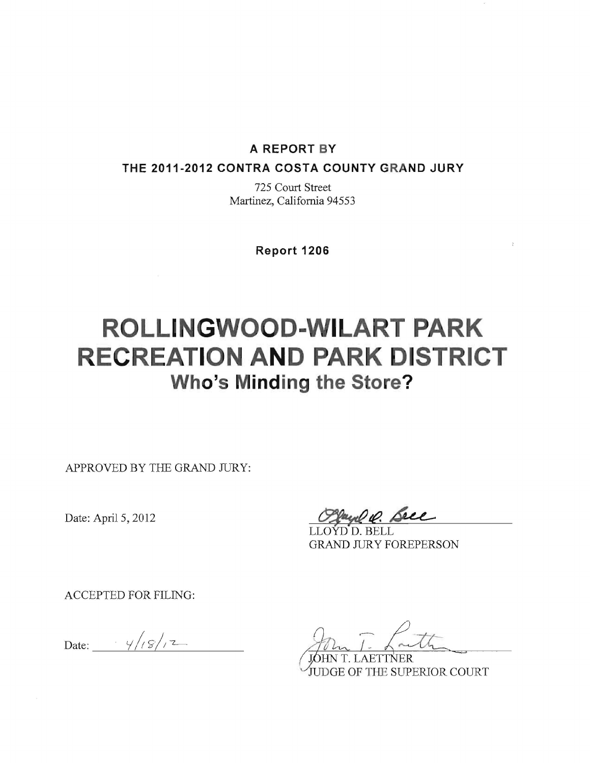#### **A REPORT BY**

**THE 2011-2012 CONTRA COSTA COUNTY GRAND JURY** 

725 Court Street Martinez, California 94553

**Report 1206** 

# **ROLLINGWOOD-WILART PARK RECREATION AND PARK DISTRICT Who's Minding the Store?**

APPROVED BY THE GRAND JURY:

Date: April 5, 2012

De. Seee

LLOYD D. BELL GRAND JURY FOREPERSON

ACCEPTED FOR FILING:

Date:  $\frac{y}{s/7}$ 

JUDGE OF THE SUPERIOR COURT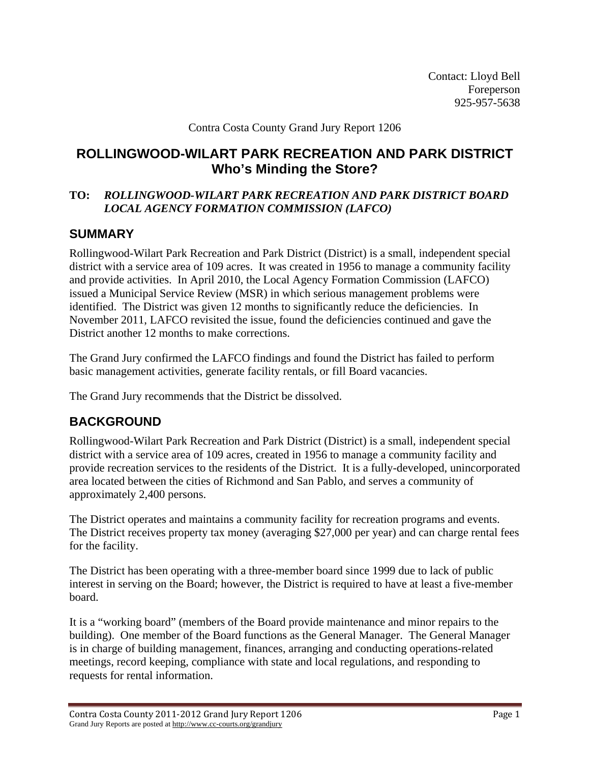Contact: Lloyd Bell Foreperson 925-957-5638

#### Contra Costa County Grand Jury Report 1206

## **ROLLINGWOOD-WILART PARK RECREATION AND PARK DISTRICT Who's Minding the Store?**

#### **TO:** *ROLLINGWOOD-WILART PARK RECREATION AND PARK DISTRICT BOARD LOCAL AGENCY FORMATION COMMISSION (LAFCO)*

## **SUMMARY**

Rollingwood-Wilart Park Recreation and Park District (District) is a small, independent special district with a service area of 109 acres. It was created in 1956 to manage a community facility and provide activities. In April 2010, the Local Agency Formation Commission (LAFCO) issued a Municipal Service Review (MSR) in which serious management problems were identified. The District was given 12 months to significantly reduce the deficiencies. In November 2011, LAFCO revisited the issue, found the deficiencies continued and gave the District another 12 months to make corrections.

The Grand Jury confirmed the LAFCO findings and found the District has failed to perform basic management activities, generate facility rentals, or fill Board vacancies.

The Grand Jury recommends that the District be dissolved.

## **BACKGROUND**

Rollingwood-Wilart Park Recreation and Park District (District) is a small, independent special district with a service area of 109 acres, created in 1956 to manage a community facility and provide recreation services to the residents of the District. It is a fully-developed, unincorporated area located between the cities of Richmond and San Pablo, and serves a community of approximately 2,400 persons.

The District operates and maintains a community facility for recreation programs and events. The District receives property tax money (averaging \$27,000 per year) and can charge rental fees for the facility.

The District has been operating with a three-member board since 1999 due to lack of public interest in serving on the Board; however, the District is required to have at least a five-member board.

It is a "working board" (members of the Board provide maintenance and minor repairs to the building). One member of the Board functions as the General Manager. The General Manager is in charge of building management, finances, arranging and conducting operations-related meetings, record keeping, compliance with state and local regulations, and responding to requests for rental information.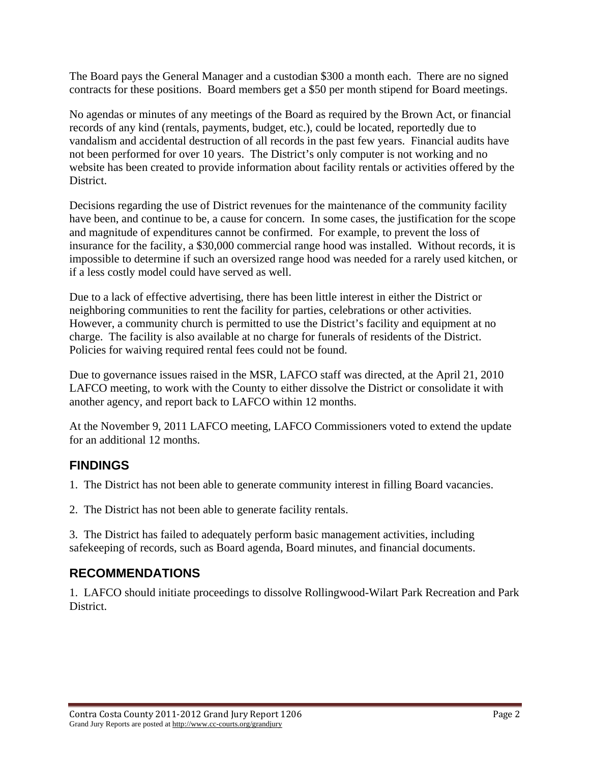The Board pays the General Manager and a custodian \$300 a month each. There are no signed contracts for these positions. Board members get a \$50 per month stipend for Board meetings.

No agendas or minutes of any meetings of the Board as required by the Brown Act, or financial records of any kind (rentals, payments, budget, etc.), could be located, reportedly due to vandalism and accidental destruction of all records in the past few years. Financial audits have not been performed for over 10 years. The District's only computer is not working and no website has been created to provide information about facility rentals or activities offered by the District.

Decisions regarding the use of District revenues for the maintenance of the community facility have been, and continue to be, a cause for concern. In some cases, the justification for the scope and magnitude of expenditures cannot be confirmed. For example, to prevent the loss of insurance for the facility, a \$30,000 commercial range hood was installed. Without records, it is impossible to determine if such an oversized range hood was needed for a rarely used kitchen, or if a less costly model could have served as well.

Due to a lack of effective advertising, there has been little interest in either the District or neighboring communities to rent the facility for parties, celebrations or other activities. However, a community church is permitted to use the District's facility and equipment at no charge. The facility is also available at no charge for funerals of residents of the District. Policies for waiving required rental fees could not be found.

Due to governance issues raised in the MSR, LAFCO staff was directed, at the April 21, 2010 LAFCO meeting, to work with the County to either dissolve the District or consolidate it with another agency, and report back to LAFCO within 12 months.

At the November 9, 2011 LAFCO meeting, LAFCO Commissioners voted to extend the update for an additional 12 months.

# **FINDINGS**

1. The District has not been able to generate community interest in filling Board vacancies.

2. The District has not been able to generate facility rentals.

3. The District has failed to adequately perform basic management activities, including safekeeping of records, such as Board agenda, Board minutes, and financial documents.

# **RECOMMENDATIONS**

1. LAFCO should initiate proceedings to dissolve Rollingwood-Wilart Park Recreation and Park District.